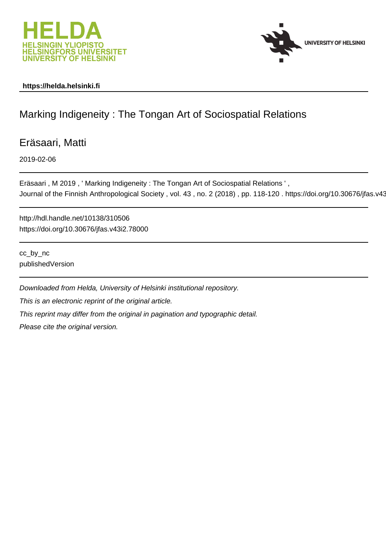



## **https://helda.helsinki.fi**

## Marking Indigeneity : The Tongan Art of Sociospatial Relations

Eräsaari, Matti

2019-02-06

Eräsaari , M 2019 , ' Marking Indigeneity : The Tongan Art of Sociospatial Relations ' , Journal of the Finnish Anthropological Society, vol. 43, no. 2 (2018), pp. 118-120. https://doi.org/10.30676/jfas.v43

http://hdl.handle.net/10138/310506 https://doi.org/10.30676/jfas.v43i2.78000

cc\_by\_nc publishedVersion

Downloaded from Helda, University of Helsinki institutional repository. This is an electronic reprint of the original article. This reprint may differ from the original in pagination and typographic detail.

Please cite the original version.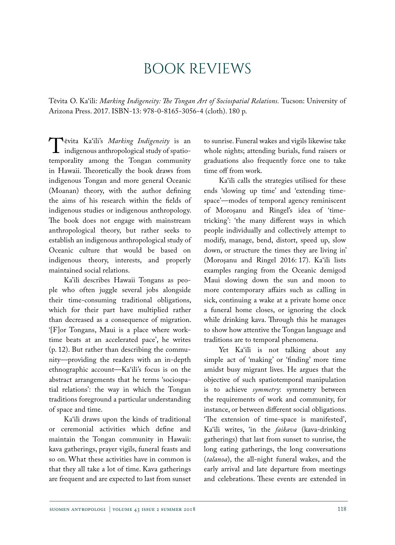## Book reviews

Tēvita O. Ka'ili: *Marking Indigeneity: The Tongan Art of Sociospatial Relations.* Tucson: University of Arizona Press. 2017. ISBN-13: 978-0-8165-3056-4 (cloth). 180 p.

**T** Fevita Ka'ili's *Marking Indigeneity* is an indigenous anthropological study of spatio-<br>temporality among the Tongan community indigenous anthropological study of spatiotemporality among the Tongan community in Hawaii. Theoretically the book draws from indigenous Tongan and more general Oceanic (Moanan) theory, with the author defining the aims of his research within the fields of indigenous studies or indigenous anthropology. The book does not engage with mainstream anthropological theory, but rather seeks to establish an indigenous anthropological study of Oceanic culture that would be based on indigenous theory, interests, and properly maintained social relations.

Ka'ili describes Hawaii Tongans as people who often juggle several jobs alongside their time-consuming traditional obligations, which for their part have multiplied rather than decreased as a consequence of migration. '[F]or Tongans, Maui is a place where worktime beats at an accelerated pace', he writes (p. 12). But rather than describing the community—providing the readers with an in-depth ethnographic account—Ka'ili's focus is on the abstract arrangements that he terms 'sociospatial relations': the way in which the Tongan traditions foreground a particular understanding of space and time.

Ka'ili draws upon the kinds of traditional or ceremonial activities which define and maintain the Tongan community in Hawaii: kava gatherings, prayer vigils, funeral feasts and so on. What these activities have in common is that they all take a lot of time. Kava gatherings are frequent and are expected to last from sunset

to sunrise. Funeral wakes and vigils likewise take whole nights; attending burials, fund raisers or graduations also frequently force one to take time off from work.

Ka'ili calls the strategies utilised for these ends 'slowing up time' and 'extending timespace'—modes of temporal agency reminiscent of Moroşanu and Ringel's idea of 'timetricking': 'the many different ways in which people individually and collectively attempt to modify, manage, bend, distort, speed up, slow down, or structure the times they are living in' (Moroşanu and Ringel 2016: 17). Ka'ili lists examples ranging from the Oceanic demigod Maui slowing down the sun and moon to more contemporary affairs such as calling in sick, continuing a wake at a private home once a funeral home closes, or ignoring the clock while drinking kava. Through this he manages to show how attentive the Tongan language and traditions are to temporal phenomena.

Yet Ka'ili is not talking about any simple act of 'making' or 'finding' more time amidst busy migrant lives. He argues that the objective of such spatiotemporal manipulation is to achieve *symmetry*: symmetry between the requirements of work and community, for instance, or between different social obligations. 'The extension of time-space is manifested', Ka'ili writes, 'in the *faikava* (kava-drinking gatherings) that last from sunset to sunrise, the long eating gatherings, the long conversations (*talanoa*), the all-night funeral wakes, and the early arrival and late departure from meetings and celebrations. These events are extended in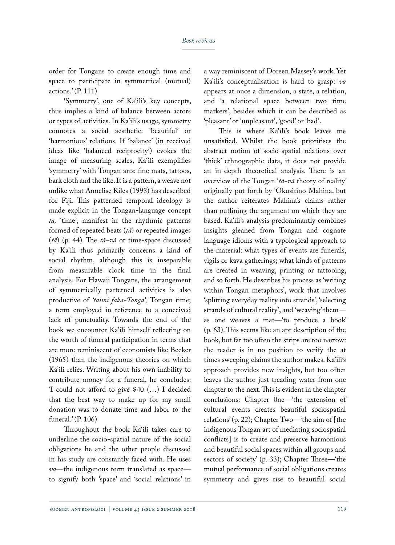order for Tongans to create enough time and space to participate in symmetrical (mutual) actions.' (P. 111)

'Symmetry', one of Ka'ili's key concepts, thus implies a kind of balance between actors or types of activities. In Ka'ili's usage, symmetry connotes a social aesthetic: 'beautiful' or 'harmonious' relations. If 'balance' (in received ideas like 'balanced reciprocity') evokes the image of measuring scales, Ka'ili exemplifies 'symmetry' with Tongan arts: fine mats, tattoos, bark cloth and the like. It is a pattern, a weave not unlike what Annelise Riles (1998) has described for Fiji. This patterned temporal ideology is made explicit in the Tongan-language concept *tā,* 'time', manifest in the rhythmic patterns formed of repeated beats (*tā*) or repeated images (*tā*) (p. 44). The *tā–vā* or time-space discussed by Ka'ili thus primarily concerns a kind of social rhythm, although this is inseparable from measurable clock time in the final analysis. For Hawaii Tongans, the arrangement of symmetrically patterned activities is also productive of *'taimi faka-Tonga',* Tongan time; a term employed in reference to a conceived lack of punctuality. Towards the end of the book we encounter Ka'ili himself reflecting on the worth of funeral participation in terms that are more reminiscent of economists like Becker (1965) than the indigenous theories on which Ka'ili relies. Writing about his own inability to contribute money for a funeral, he concludes: 'I could not afford to give \$40 (…) I decided that the best way to make up for my small donation was to donate time and labor to the funeral.' (P. 106)

Throughout the book Ka'ili takes care to underline the socio-spatial nature of the social obligations he and the other people discussed in his study are constantly faced with. He uses *va*—the indigenous term translated as space to signify both 'space' and 'social relations' in

a way reminiscent of Doreen Massey's work. Yet Ka'ili's conceptualisation is hard to grasp: *va* appears at once a dimension, a state, a relation, and 'a relational space between two time markers', besides which it can be described as 'pleasant' or 'unpleasant', 'good' or 'bad'.

This is where Ka'ili's book leaves me unsatisfied. Whilst the book prioritises the abstract notion of socio-spatial relations over 'thick' ethnographic data, it does not provide an in-depth theoretical analysis. There is an overview of the Tongan '*tā-vā* theory of reality' originally put forth by 'Ōkusitino Māhina, but the author reiterates Māhina's claims rather than outlining the argument on which they are based. Ka'ili's analysis predominantly combines insights gleaned from Tongan and cognate language idioms with a typological approach to the material: what types of events are funerals, vigils or kava gatherings; what kinds of patterns are created in weaving, printing or tattooing, and so forth. He describes his process as 'writing within Tongan metaphors', work that involves 'splitting everyday reality into strands', 'selecting strands of cultural reality', and 'weaving' them as one weaves a mat—'to produce a book' (p. 63). This seems like an apt description of the book, but far too often the strips are too narrow: the reader is in no position to verify the at times sweeping claims the author makes. Ka'ili's approach provides new insights, but too often leaves the author just treading water from one chapter to the next. This is evident in the chapter conclusions: Chapter 0ne—'the extension of cultural events creates beautiful sociospatial relations' (p. 22); Chapter Two—'the aim of [the indigenous Tongan art of mediating sociospatial conflicts] is to create and preserve harmonious and beautiful social spaces within all groups and sectors of society' (p. 33); Chapter Three—'the mutual performance of social obligations creates symmetry and gives rise to beautiful social